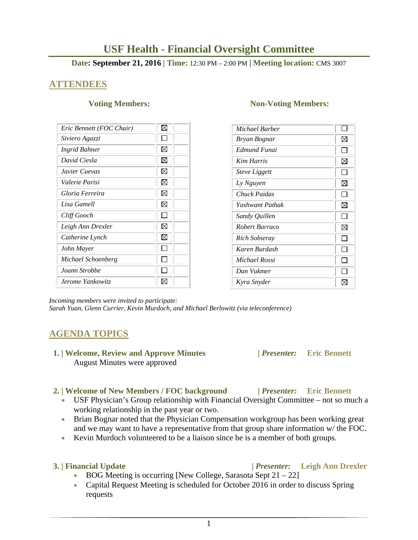# **USF Health - Financial Oversight Committee**

### **Date: September 21, 2016** | **Time:** 12:30 PM – 2:00 PM | **Meeting location:** CMS 3007

## **ATTENDEES**

| Eric Bennett (FOC Chair) | ⊠           |
|--------------------------|-------------|
| Siviero Agazzi           |             |
| Ingrid Bahner            | $\boxtimes$ |
| David Ciesla             | $\boxtimes$ |
| Javier Cuevas            | M           |
| Valerie Parisi           | X           |
| Gloria Ferreira          | X           |
| Lisa Gamell              | X           |
| Cliff Gooch              |             |
| Leigh Ann Drexler        | ⊠           |
| Catherine Lynch          | M           |
| John Mayer               |             |
| Michael Schoenberg       |             |
| Joann Strobbe            |             |
| Jerome Yankowitz         |             |

#### **Voting Members:** Non-Voting Members:

| Michael Barber       |              |
|----------------------|--------------|
| Bryan Bognar         | ⊠            |
| Edmund Funai         |              |
| <b>Kim Harris</b>    | ⊠            |
| <b>Steve Liggett</b> | l I          |
| Ly Nguyen            | ⊠            |
| Chuck Paidas         | ΙI           |
| Yashwant Pathak      | ⊠            |
| Sandy Quillen        | $\mathbf{I}$ |
| Robert Barraco       | ⊠            |
| Rich Sobieray        |              |
| Karen Burdash        |              |
| Michael Rossi        |              |
| Dan Vukmer           |              |
| Kyra Snyder          |              |

*Incoming members were invited to participate:* 

*Sarah Yuan, Glenn Currier, Kevin Murdoch, and Michael Berlowitz (via teleconference)* 

# **AGENDA TOPICS**

 **1. | Welcome, Review and Approve Minutes****|** *Presenter:* **Eric Bennett**  August Minutes were approved

#### **2. | Welcome of New Members / FOC background |** *Presenter:* **Eric Bennett**

- USF Physician's Group relationship with Financial Oversight Committee not so much a working relationship in the past year or two.
- Brian Bognar noted that the Physician Compensation workgroup has been working great and we may want to have a representative from that group share information w/ the FOC.
- Kevin Murdoch volunteered to be a liaison since he is a member of both groups.

- BOG Meeting is occurring [New College, Sarasota Sept  $21 22$ ]
- Capital Request Meeting is scheduled for October 2016 in order to discuss Spring requests

### **3. | Financial Update |** *Presenter:* **Leigh Ann Drexler**